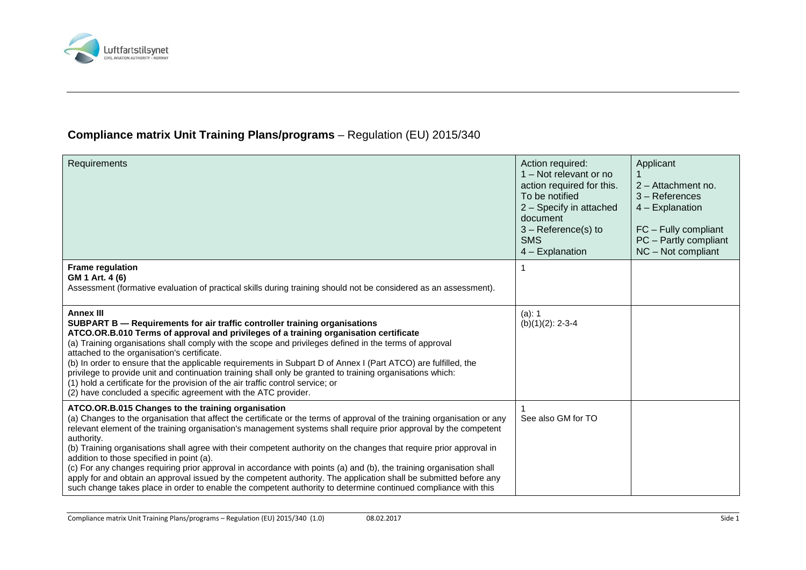

## **Compliance matrix Unit Training Plans/programs** – Regulation (EU) 2015/340

| <b>Requirements</b>                                                                                                                                                                                                                                                                                                                                                                                                                                                                                                                                                                                                                                                                                                                                                                                                                                | Action required:<br>1 – Not relevant or no<br>action required for this.<br>To be notified<br>2 - Specify in attached<br>document<br>$3 - Reference(s)$ to<br><b>SMS</b><br>4 - Explanation | Applicant<br>$2 -$ Attachment no.<br>$3 -$ References<br>$4$ – Explanation<br>FC - Fully compliant<br>PC - Partly compliant<br>NC - Not compliant |
|----------------------------------------------------------------------------------------------------------------------------------------------------------------------------------------------------------------------------------------------------------------------------------------------------------------------------------------------------------------------------------------------------------------------------------------------------------------------------------------------------------------------------------------------------------------------------------------------------------------------------------------------------------------------------------------------------------------------------------------------------------------------------------------------------------------------------------------------------|--------------------------------------------------------------------------------------------------------------------------------------------------------------------------------------------|---------------------------------------------------------------------------------------------------------------------------------------------------|
| <b>Frame regulation</b><br>GM 1 Art. 4 (6)<br>Assessment (formative evaluation of practical skills during training should not be considered as an assessment).                                                                                                                                                                                                                                                                                                                                                                                                                                                                                                                                                                                                                                                                                     |                                                                                                                                                                                            |                                                                                                                                                   |
| <b>Annex III</b><br>SUBPART B - Requirements for air traffic controller training organisations<br>ATCO.OR.B.010 Terms of approval and privileges of a training organisation certificate<br>(a) Training organisations shall comply with the scope and privileges defined in the terms of approval<br>attached to the organisation's certificate.<br>(b) In order to ensure that the applicable requirements in Subpart D of Annex I (Part ATCO) are fulfilled, the<br>privilege to provide unit and continuation training shall only be granted to training organisations which:<br>(1) hold a certificate for the provision of the air traffic control service; or<br>(2) have concluded a specific agreement with the ATC provider.                                                                                                              | (a): 1<br>$(b)(1)(2): 2-3-4$                                                                                                                                                               |                                                                                                                                                   |
| ATCO.OR.B.015 Changes to the training organisation<br>(a) Changes to the organisation that affect the certificate or the terms of approval of the training organisation or any<br>relevant element of the training organisation's management systems shall require prior approval by the competent<br>authority.<br>(b) Training organisations shall agree with their competent authority on the changes that require prior approval in<br>addition to those specified in point (a).<br>(c) For any changes requiring prior approval in accordance with points (a) and (b), the training organisation shall<br>apply for and obtain an approval issued by the competent authority. The application shall be submitted before any<br>such change takes place in order to enable the competent authority to determine continued compliance with this | See also GM for TO                                                                                                                                                                         |                                                                                                                                                   |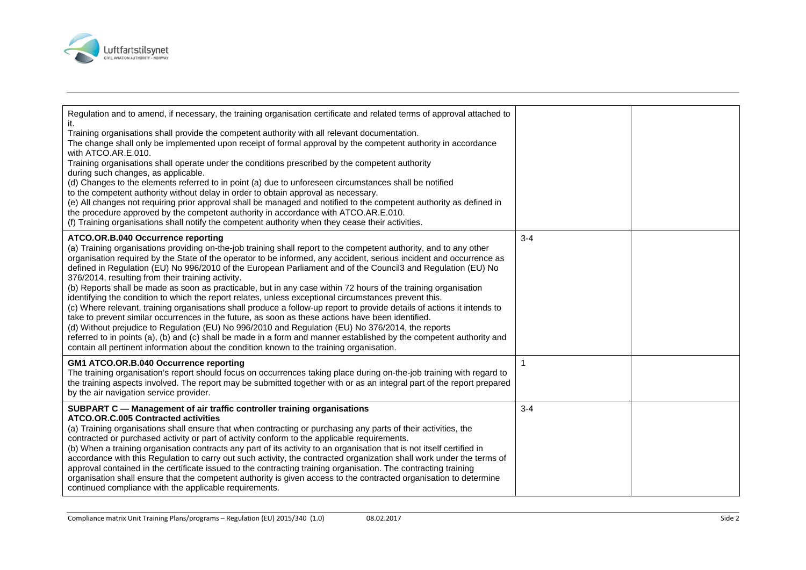

| Regulation and to amend, if necessary, the training organisation certificate and related terms of approval attached to<br>Training organisations shall provide the competent authority with all relevant documentation.<br>The change shall only be implemented upon receipt of formal approval by the competent authority in accordance<br>with ATCO.AR.E.010.<br>Training organisations shall operate under the conditions prescribed by the competent authority<br>during such changes, as applicable.<br>(d) Changes to the elements referred to in point (a) due to unforeseen circumstances shall be notified<br>to the competent authority without delay in order to obtain approval as necessary.<br>(e) All changes not requiring prior approval shall be managed and notified to the competent authority as defined in<br>the procedure approved by the competent authority in accordance with ATCO.AR.E.010.<br>(f) Training organisations shall notify the competent authority when they cease their activities.                                                                                                                                                                                                              |         |  |
|-------------------------------------------------------------------------------------------------------------------------------------------------------------------------------------------------------------------------------------------------------------------------------------------------------------------------------------------------------------------------------------------------------------------------------------------------------------------------------------------------------------------------------------------------------------------------------------------------------------------------------------------------------------------------------------------------------------------------------------------------------------------------------------------------------------------------------------------------------------------------------------------------------------------------------------------------------------------------------------------------------------------------------------------------------------------------------------------------------------------------------------------------------------------------------------------------------------------------------------------|---------|--|
| ATCO.OR.B.040 Occurrence reporting<br>(a) Training organisations providing on-the-job training shall report to the competent authority, and to any other<br>organisation required by the State of the operator to be informed, any accident, serious incident and occurrence as<br>defined in Regulation (EU) No 996/2010 of the European Parliament and of the Council3 and Regulation (EU) No<br>376/2014, resulting from their training activity.<br>(b) Reports shall be made as soon as practicable, but in any case within 72 hours of the training organisation<br>identifying the condition to which the report relates, unless exceptional circumstances prevent this.<br>(c) Where relevant, training organisations shall produce a follow-up report to provide details of actions it intends to<br>take to prevent similar occurrences in the future, as soon as these actions have been identified.<br>(d) Without prejudice to Regulation (EU) No 996/2010 and Regulation (EU) No 376/2014, the reports<br>referred to in points (a), (b) and (c) shall be made in a form and manner established by the competent authority and<br>contain all pertinent information about the condition known to the training organisation. | $3 - 4$ |  |
| GM1 ATCO.OR.B.040 Occurrence reporting<br>The training organisation's report should focus on occurrences taking place during on-the-job training with regard to<br>the training aspects involved. The report may be submitted together with or as an integral part of the report prepared<br>by the air navigation service provider.                                                                                                                                                                                                                                                                                                                                                                                                                                                                                                                                                                                                                                                                                                                                                                                                                                                                                                      |         |  |
| SUBPART C - Management of air traffic controller training organisations<br><b>ATCO.OR.C.005 Contracted activities</b><br>(a) Training organisations shall ensure that when contracting or purchasing any parts of their activities, the<br>contracted or purchased activity or part of activity conform to the applicable requirements.<br>(b) When a training organisation contracts any part of its activity to an organisation that is not itself certified in<br>accordance with this Regulation to carry out such activity, the contracted organization shall work under the terms of<br>approval contained in the certificate issued to the contracting training organisation. The contracting training<br>organisation shall ensure that the competent authority is given access to the contracted organisation to determine<br>continued compliance with the applicable requirements.                                                                                                                                                                                                                                                                                                                                             | $3 - 4$ |  |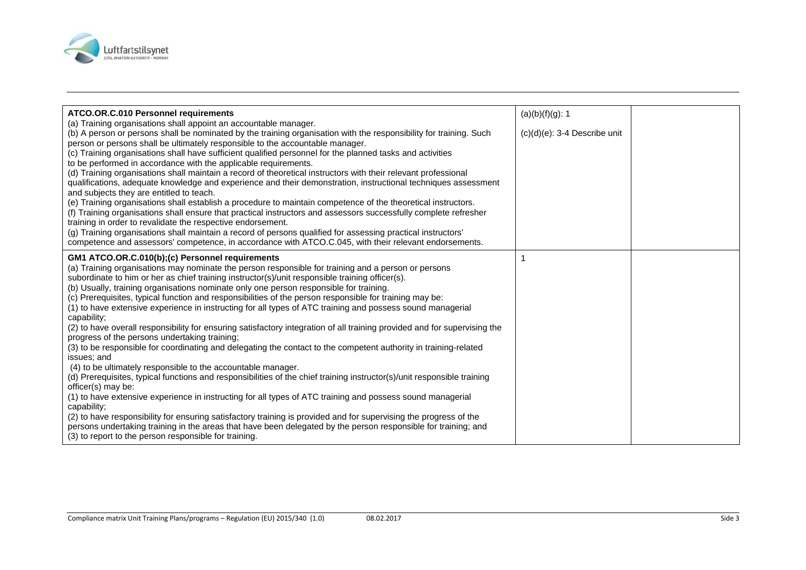

| ATCO.OR.C.010 Personnel requirements<br>(a) Training organisations shall appoint an accountable manager.<br>(b) A person or persons shall be nominated by the training organisation with the responsibility for training. Such<br>person or persons shall be ultimately responsible to the accountable manager.<br>(c) Training organisations shall have sufficient qualified personnel for the planned tasks and activities<br>to be performed in accordance with the applicable requirements.<br>(d) Training organisations shall maintain a record of theoretical instructors with their relevant professional<br>qualifications, adequate knowledge and experience and their demonstration, instructional techniques assessment<br>and subjects they are entitled to teach.<br>(e) Training organisations shall establish a procedure to maintain competence of the theoretical instructors.<br>(f) Training organisations shall ensure that practical instructors and assessors successfully complete refresher                                                                                                                                                                                                                                                                                                                                                                                                                                                                                                                                       | (a)(b)(f)(g): 1<br>$(c)(d)(e)$ : 3-4 Describe unit |  |
|------------------------------------------------------------------------------------------------------------------------------------------------------------------------------------------------------------------------------------------------------------------------------------------------------------------------------------------------------------------------------------------------------------------------------------------------------------------------------------------------------------------------------------------------------------------------------------------------------------------------------------------------------------------------------------------------------------------------------------------------------------------------------------------------------------------------------------------------------------------------------------------------------------------------------------------------------------------------------------------------------------------------------------------------------------------------------------------------------------------------------------------------------------------------------------------------------------------------------------------------------------------------------------------------------------------------------------------------------------------------------------------------------------------------------------------------------------------------------------------------------------------------------------------------------------|----------------------------------------------------|--|
| training in order to revalidate the respective endorsement.<br>(g) Training organisations shall maintain a record of persons qualified for assessing practical instructors'<br>competence and assessors' competence, in accordance with ATCO.C.045, with their relevant endorsements.                                                                                                                                                                                                                                                                                                                                                                                                                                                                                                                                                                                                                                                                                                                                                                                                                                                                                                                                                                                                                                                                                                                                                                                                                                                                      |                                                    |  |
| GM1 ATCO.OR.C.010(b);(c) Personnel requirements<br>(a) Training organisations may nominate the person responsible for training and a person or persons<br>subordinate to him or her as chief training instructor(s)/unit responsible training officer(s).<br>(b) Usually, training organisations nominate only one person responsible for training.<br>(c) Prerequisites, typical function and responsibilities of the person responsible for training may be:<br>(1) to have extensive experience in instructing for all types of ATC training and possess sound managerial<br>capability;<br>(2) to have overall responsibility for ensuring satisfactory integration of all training provided and for supervising the<br>progress of the persons undertaking training;<br>(3) to be responsible for coordinating and delegating the contact to the competent authority in training-related<br>issues; and<br>(4) to be ultimately responsible to the accountable manager.<br>(d) Prerequisites, typical functions and responsibilities of the chief training instructor(s)/unit responsible training<br>officer(s) may be:<br>(1) to have extensive experience in instructing for all types of ATC training and possess sound managerial<br>capability;<br>(2) to have responsibility for ensuring satisfactory training is provided and for supervising the progress of the<br>persons undertaking training in the areas that have been delegated by the person responsible for training; and<br>(3) to report to the person responsible for training. |                                                    |  |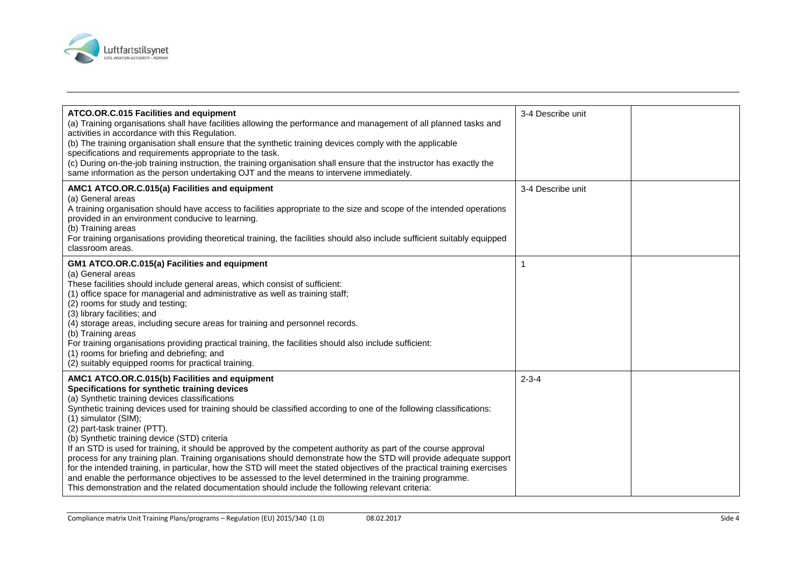

| ATCO.OR.C.015 Facilities and equipment<br>(a) Training organisations shall have facilities allowing the performance and management of all planned tasks and<br>activities in accordance with this Regulation.<br>(b) The training organisation shall ensure that the synthetic training devices comply with the applicable<br>specifications and requirements appropriate to the task.<br>(c) During on-the-job training instruction, the training organisation shall ensure that the instructor has exactly the<br>same information as the person undertaking OJT and the means to intervene immediately.                                                                                                                                                                                                                                                                                                                                                             | 3-4 Describe unit |  |
|------------------------------------------------------------------------------------------------------------------------------------------------------------------------------------------------------------------------------------------------------------------------------------------------------------------------------------------------------------------------------------------------------------------------------------------------------------------------------------------------------------------------------------------------------------------------------------------------------------------------------------------------------------------------------------------------------------------------------------------------------------------------------------------------------------------------------------------------------------------------------------------------------------------------------------------------------------------------|-------------------|--|
| AMC1 ATCO.OR.C.015(a) Facilities and equipment<br>(a) General areas<br>A training organisation should have access to facilities appropriate to the size and scope of the intended operations<br>provided in an environment conducive to learning.<br>(b) Training areas<br>For training organisations providing theoretical training, the facilities should also include sufficient suitably equipped<br>classroom areas.                                                                                                                                                                                                                                                                                                                                                                                                                                                                                                                                              | 3-4 Describe unit |  |
| GM1 ATCO.OR.C.015(a) Facilities and equipment<br>(a) General areas<br>These facilities should include general areas, which consist of sufficient:<br>(1) office space for managerial and administrative as well as training staff;<br>(2) rooms for study and testing;<br>(3) library facilities; and<br>(4) storage areas, including secure areas for training and personnel records.<br>(b) Training areas<br>For training organisations providing practical training, the facilities should also include sufficient:<br>(1) rooms for briefing and debriefing; and<br>(2) suitably equipped rooms for practical training.                                                                                                                                                                                                                                                                                                                                           |                   |  |
| AMC1 ATCO.OR.C.015(b) Facilities and equipment<br>Specifications for synthetic training devices<br>(a) Synthetic training devices classifications<br>Synthetic training devices used for training should be classified according to one of the following classifications:<br>(1) simulator (SIM);<br>(2) part-task trainer (PTT).<br>(b) Synthetic training device (STD) criteria<br>If an STD is used for training, it should be approved by the competent authority as part of the course approval<br>process for any training plan. Training organisations should demonstrate how the STD will provide adequate support<br>for the intended training, in particular, how the STD will meet the stated objectives of the practical training exercises<br>and enable the performance objectives to be assessed to the level determined in the training programme.<br>This demonstration and the related documentation should include the following relevant criteria: | $2 - 3 - 4$       |  |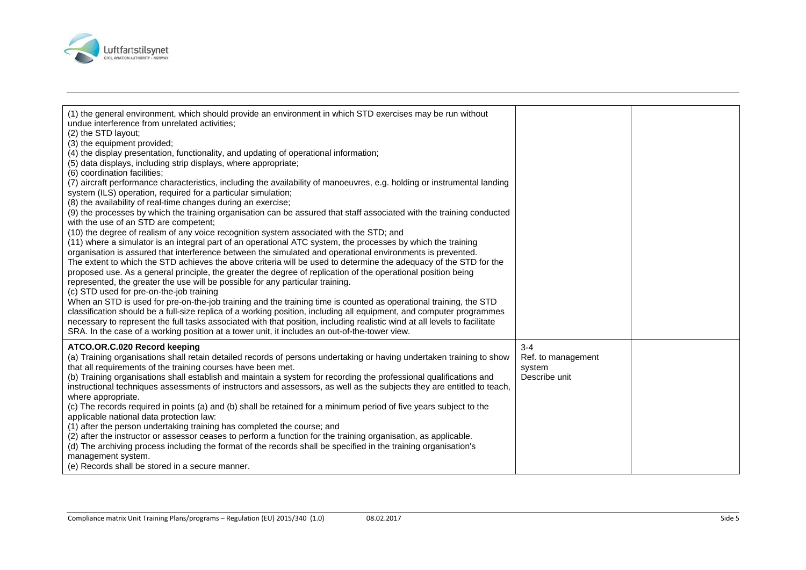

| (1) the general environment, which should provide an environment in which STD exercises may be run without<br>undue interference from unrelated activities;<br>(2) the STD layout;<br>(3) the equipment provided;<br>(4) the display presentation, functionality, and updating of operational information;<br>(5) data displays, including strip displays, where appropriate;<br>(6) coordination facilities;<br>(7) aircraft performance characteristics, including the availability of manoeuvres, e.g. holding or instrumental landing<br>system (ILS) operation, required for a particular simulation;<br>(8) the availability of real-time changes during an exercise;<br>(9) the processes by which the training organisation can be assured that staff associated with the training conducted<br>with the use of an STD are competent;<br>(10) the degree of realism of any voice recognition system associated with the STD; and<br>(11) where a simulator is an integral part of an operational ATC system, the processes by which the training<br>organisation is assured that interference between the simulated and operational environments is prevented.<br>The extent to which the STD achieves the above criteria will be used to determine the adequacy of the STD for the<br>proposed use. As a general principle, the greater the degree of replication of the operational position being<br>represented, the greater the use will be possible for any particular training.<br>(c) STD used for pre-on-the-job training<br>When an STD is used for pre-on-the-job training and the training time is counted as operational training, the STD<br>classification should be a full-size replica of a working position, including all equipment, and computer programmes<br>necessary to represent the full tasks associated with that position, including realistic wind at all levels to facilitate<br>SRA. In the case of a working position at a tower unit, it includes an out-of-the-tower view. |                                                          |  |
|-----------------------------------------------------------------------------------------------------------------------------------------------------------------------------------------------------------------------------------------------------------------------------------------------------------------------------------------------------------------------------------------------------------------------------------------------------------------------------------------------------------------------------------------------------------------------------------------------------------------------------------------------------------------------------------------------------------------------------------------------------------------------------------------------------------------------------------------------------------------------------------------------------------------------------------------------------------------------------------------------------------------------------------------------------------------------------------------------------------------------------------------------------------------------------------------------------------------------------------------------------------------------------------------------------------------------------------------------------------------------------------------------------------------------------------------------------------------------------------------------------------------------------------------------------------------------------------------------------------------------------------------------------------------------------------------------------------------------------------------------------------------------------------------------------------------------------------------------------------------------------------------------------------------------------------------------------------------------------------------------------------------------|----------------------------------------------------------|--|
| ATCO.OR.C.020 Record keeping<br>(a) Training organisations shall retain detailed records of persons undertaking or having undertaken training to show<br>that all requirements of the training courses have been met.<br>(b) Training organisations shall establish and maintain a system for recording the professional qualifications and<br>instructional techniques assessments of instructors and assessors, as well as the subjects they are entitled to teach,<br>where appropriate.<br>(c) The records required in points (a) and (b) shall be retained for a minimum period of five years subject to the<br>applicable national data protection law:<br>(1) after the person undertaking training has completed the course; and<br>(2) after the instructor or assessor ceases to perform a function for the training organisation, as applicable.<br>(d) The archiving process including the format of the records shall be specified in the training organisation's<br>management system.<br>(e) Records shall be stored in a secure manner.                                                                                                                                                                                                                                                                                                                                                                                                                                                                                                                                                                                                                                                                                                                                                                                                                                                                                                                                                               | $3 - 4$<br>Ref. to management<br>system<br>Describe unit |  |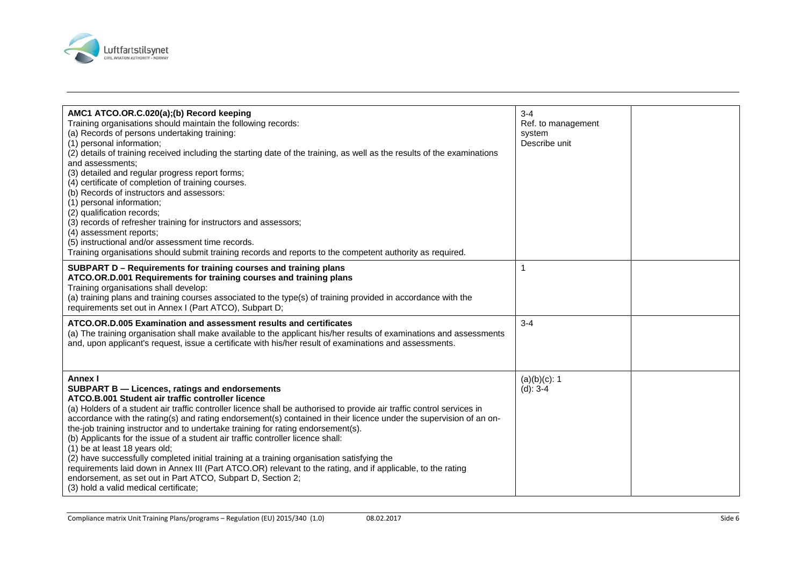

| AMC1 ATCO.OR.C.020(a);(b) Record keeping<br>Training organisations should maintain the following records:<br>(a) Records of persons undertaking training:<br>(1) personal information;<br>(2) details of training received including the starting date of the training, as well as the results of the examinations<br>and assessments:<br>(3) detailed and regular progress report forms;<br>(4) certificate of completion of training courses.<br>(b) Records of instructors and assessors:<br>(1) personal information;<br>(2) qualification records;<br>(3) records of refresher training for instructors and assessors;<br>(4) assessment reports;<br>(5) instructional and/or assessment time records.<br>Training organisations should submit training records and reports to the competent authority as required.                                                                           | $3 - 4$<br>Ref. to management<br>system<br>Describe unit |  |
|----------------------------------------------------------------------------------------------------------------------------------------------------------------------------------------------------------------------------------------------------------------------------------------------------------------------------------------------------------------------------------------------------------------------------------------------------------------------------------------------------------------------------------------------------------------------------------------------------------------------------------------------------------------------------------------------------------------------------------------------------------------------------------------------------------------------------------------------------------------------------------------------------|----------------------------------------------------------|--|
| SUBPART D - Requirements for training courses and training plans<br>ATCO.OR.D.001 Requirements for training courses and training plans<br>Training organisations shall develop:<br>(a) training plans and training courses associated to the type(s) of training provided in accordance with the<br>requirements set out in Annex I (Part ATCO), Subpart D;                                                                                                                                                                                                                                                                                                                                                                                                                                                                                                                                        |                                                          |  |
| ATCO.OR.D.005 Examination and assessment results and certificates<br>(a) The training organisation shall make available to the applicant his/her results of examinations and assessments<br>and, upon applicant's request, issue a certificate with his/her result of examinations and assessments.                                                                                                                                                                                                                                                                                                                                                                                                                                                                                                                                                                                                | $3 - 4$                                                  |  |
| Annex I<br><b>SUBPART B - Licences, ratings and endorsements</b><br>ATCO.B.001 Student air traffic controller licence<br>(a) Holders of a student air traffic controller licence shall be authorised to provide air traffic control services in<br>accordance with the rating(s) and rating endorsement(s) contained in their licence under the supervision of an on-<br>the-job training instructor and to undertake training for rating endorsement(s).<br>(b) Applicants for the issue of a student air traffic controller licence shall:<br>(1) be at least 18 years old;<br>(2) have successfully completed initial training at a training organisation satisfying the<br>requirements laid down in Annex III (Part ATCO.OR) relevant to the rating, and if applicable, to the rating<br>endorsement, as set out in Part ATCO, Subpart D, Section 2;<br>(3) hold a valid medical certificate; | $(a)(b)(c)$ : 1<br>$(d)$ : 3-4                           |  |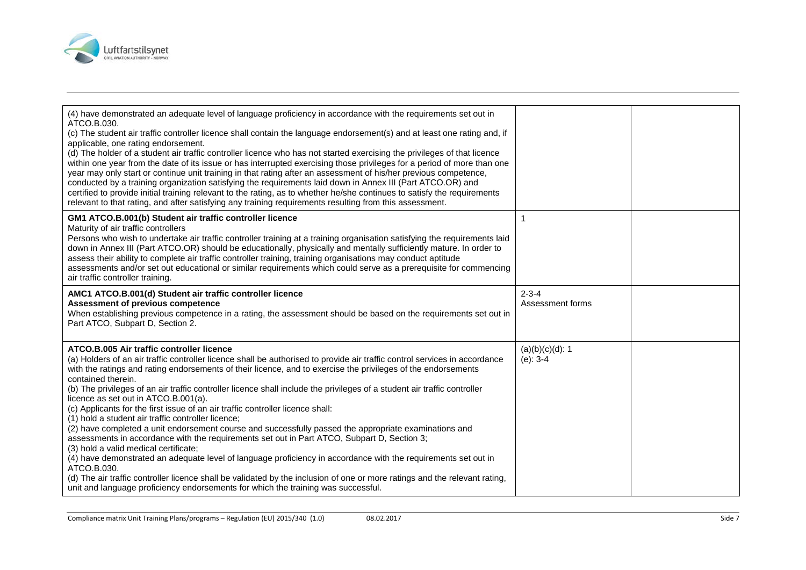

| (4) have demonstrated an adequate level of language proficiency in accordance with the requirements set out in<br>ATCO.B.030.<br>(c) The student air traffic controller licence shall contain the language endorsement(s) and at least one rating and, if<br>applicable, one rating endorsement.<br>(d) The holder of a student air traffic controller licence who has not started exercising the privileges of that licence<br>within one year from the date of its issue or has interrupted exercising those privileges for a period of more than one<br>year may only start or continue unit training in that rating after an assessment of his/her previous competence,<br>conducted by a training organization satisfying the requirements laid down in Annex III (Part ATCO.OR) and<br>certified to provide initial training relevant to the rating, as to whether he/she continues to satisfy the requirements<br>relevant to that rating, and after satisfying any training requirements resulting from this assessment.                                                                                                                                                                                                |                                   |  |
|---------------------------------------------------------------------------------------------------------------------------------------------------------------------------------------------------------------------------------------------------------------------------------------------------------------------------------------------------------------------------------------------------------------------------------------------------------------------------------------------------------------------------------------------------------------------------------------------------------------------------------------------------------------------------------------------------------------------------------------------------------------------------------------------------------------------------------------------------------------------------------------------------------------------------------------------------------------------------------------------------------------------------------------------------------------------------------------------------------------------------------------------------------------------------------------------------------------------------------|-----------------------------------|--|
| GM1 ATCO.B.001(b) Student air traffic controller licence<br>Maturity of air traffic controllers<br>Persons who wish to undertake air traffic controller training at a training organisation satisfying the requirements laid<br>down in Annex III (Part ATCO.OR) should be educationally, physically and mentally sufficiently mature. In order to<br>assess their ability to complete air traffic controller training, training organisations may conduct aptitude<br>assessments and/or set out educational or similar requirements which could serve as a prerequisite for commencing<br>air traffic controller training.                                                                                                                                                                                                                                                                                                                                                                                                                                                                                                                                                                                                    | 1                                 |  |
| AMC1 ATCO.B.001(d) Student air traffic controller licence<br>Assessment of previous competence<br>When establishing previous competence in a rating, the assessment should be based on the requirements set out in<br>Part ATCO, Subpart D, Section 2.                                                                                                                                                                                                                                                                                                                                                                                                                                                                                                                                                                                                                                                                                                                                                                                                                                                                                                                                                                          | $2 - 3 - 4$<br>Assessment forms   |  |
| ATCO.B.005 Air traffic controller licence<br>(a) Holders of an air traffic controller licence shall be authorised to provide air traffic control services in accordance<br>with the ratings and rating endorsements of their licence, and to exercise the privileges of the endorsements<br>contained therein.<br>(b) The privileges of an air traffic controller licence shall include the privileges of a student air traffic controller<br>licence as set out in ATCO.B.001(a).<br>(c) Applicants for the first issue of an air traffic controller licence shall:<br>(1) hold a student air traffic controller licence;<br>(2) have completed a unit endorsement course and successfully passed the appropriate examinations and<br>assessments in accordance with the requirements set out in Part ATCO, Subpart D, Section 3;<br>(3) hold a valid medical certificate;<br>(4) have demonstrated an adequate level of language proficiency in accordance with the requirements set out in<br>ATCO.B.030.<br>(d) The air traffic controller licence shall be validated by the inclusion of one or more ratings and the relevant rating,<br>unit and language proficiency endorsements for which the training was successful. | $(a)(b)(c)(d)$ : 1<br>$(e)$ : 3-4 |  |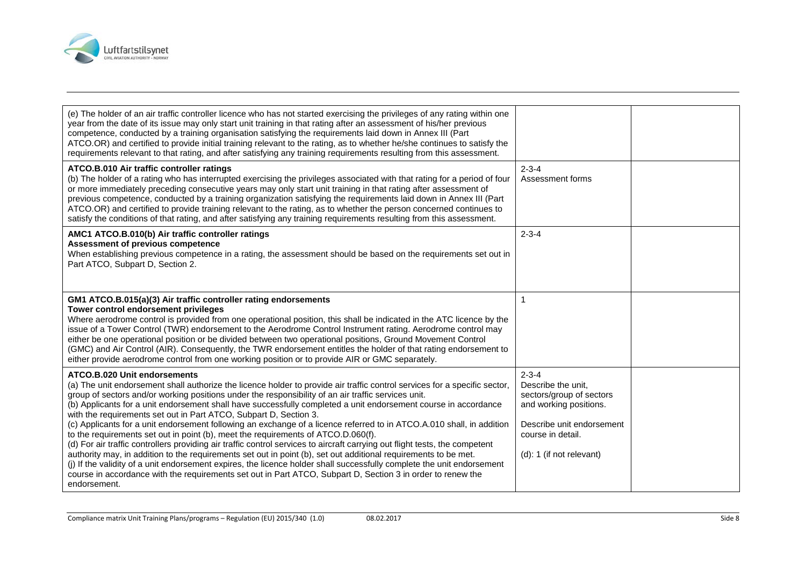

| (e) The holder of an air traffic controller licence who has not started exercising the privileges of any rating within one<br>year from the date of its issue may only start unit training in that rating after an assessment of his/her previous<br>competence, conducted by a training organisation satisfying the requirements laid down in Annex III (Part<br>ATCO.OR) and certified to provide initial training relevant to the rating, as to whether he/she continues to satisfy the<br>requirements relevant to that rating, and after satisfying any training requirements resulting from this assessment.                                                                                                                                                                                                                                                                                                                                                                                                                                                                                                                                                                 |                                                                                                                                                                       |  |
|------------------------------------------------------------------------------------------------------------------------------------------------------------------------------------------------------------------------------------------------------------------------------------------------------------------------------------------------------------------------------------------------------------------------------------------------------------------------------------------------------------------------------------------------------------------------------------------------------------------------------------------------------------------------------------------------------------------------------------------------------------------------------------------------------------------------------------------------------------------------------------------------------------------------------------------------------------------------------------------------------------------------------------------------------------------------------------------------------------------------------------------------------------------------------------|-----------------------------------------------------------------------------------------------------------------------------------------------------------------------|--|
| ATCO.B.010 Air traffic controller ratings<br>(b) The holder of a rating who has interrupted exercising the privileges associated with that rating for a period of four<br>or more immediately preceding consecutive years may only start unit training in that rating after assessment of<br>previous competence, conducted by a training organization satisfying the requirements laid down in Annex III (Part<br>ATCO.OR) and certified to provide training relevant to the rating, as to whether the person concerned continues to<br>satisfy the conditions of that rating, and after satisfying any training requirements resulting from this assessment.                                                                                                                                                                                                                                                                                                                                                                                                                                                                                                                     | $2 - 3 - 4$<br>Assessment forms                                                                                                                                       |  |
| AMC1 ATCO.B.010(b) Air traffic controller ratings<br>Assessment of previous competence<br>When establishing previous competence in a rating, the assessment should be based on the requirements set out in<br>Part ATCO, Subpart D, Section 2.                                                                                                                                                                                                                                                                                                                                                                                                                                                                                                                                                                                                                                                                                                                                                                                                                                                                                                                                     | $2 - 3 - 4$                                                                                                                                                           |  |
| GM1 ATCO.B.015(a)(3) Air traffic controller rating endorsements<br>Tower control endorsement privileges<br>Where aerodrome control is provided from one operational position, this shall be indicated in the ATC licence by the<br>issue of a Tower Control (TWR) endorsement to the Aerodrome Control Instrument rating. Aerodrome control may<br>either be one operational position or be divided between two operational positions, Ground Movement Control<br>(GMC) and Air Control (AIR). Consequently, the TWR endorsement entitles the holder of that rating endorsement to<br>either provide aerodrome control from one working position or to provide AIR or GMC separately.                                                                                                                                                                                                                                                                                                                                                                                                                                                                                              |                                                                                                                                                                       |  |
| ATCO.B.020 Unit endorsements<br>(a) The unit endorsement shall authorize the licence holder to provide air traffic control services for a specific sector,<br>group of sectors and/or working positions under the responsibility of an air traffic services unit.<br>(b) Applicants for a unit endorsement shall have successfully completed a unit endorsement course in accordance<br>with the requirements set out in Part ATCO, Subpart D, Section 3.<br>(c) Applicants for a unit endorsement following an exchange of a licence referred to in ATCO.A.010 shall, in addition<br>to the requirements set out in point (b), meet the requirements of ATCO.D.060(f).<br>(d) For air traffic controllers providing air traffic control services to aircraft carrying out flight tests, the competent<br>authority may, in addition to the requirements set out in point (b), set out additional requirements to be met.<br>(i) If the validity of a unit endorsement expires, the licence holder shall successfully complete the unit endorsement<br>course in accordance with the requirements set out in Part ATCO, Subpart D, Section 3 in order to renew the<br>endorsement. | $2 - 3 - 4$<br>Describe the unit.<br>sectors/group of sectors<br>and working positions.<br>Describe unit endorsement<br>course in detail.<br>(d): 1 (if not relevant) |  |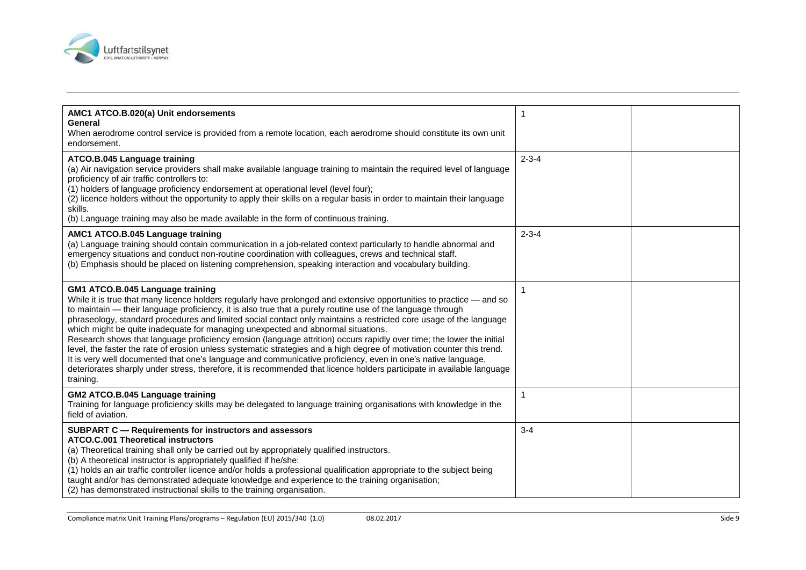

| AMC1 ATCO.B.020(a) Unit endorsements<br>General<br>When aerodrome control service is provided from a remote location, each aerodrome should constitute its own unit<br>endorsement.                                                                                                                                                                                                                                                                                                                                                                                                                                                                                                                                                                                                                                                                                                                                                                                                         |                          |  |
|---------------------------------------------------------------------------------------------------------------------------------------------------------------------------------------------------------------------------------------------------------------------------------------------------------------------------------------------------------------------------------------------------------------------------------------------------------------------------------------------------------------------------------------------------------------------------------------------------------------------------------------------------------------------------------------------------------------------------------------------------------------------------------------------------------------------------------------------------------------------------------------------------------------------------------------------------------------------------------------------|--------------------------|--|
| ATCO.B.045 Language training<br>(a) Air navigation service providers shall make available language training to maintain the required level of language<br>proficiency of air traffic controllers to:<br>(1) holders of language proficiency endorsement at operational level (level four);<br>(2) licence holders without the opportunity to apply their skills on a regular basis in order to maintain their language<br>skills.<br>(b) Language training may also be made available in the form of continuous training.                                                                                                                                                                                                                                                                                                                                                                                                                                                                   | $2 - 3 - 4$              |  |
| AMC1 ATCO.B.045 Language training<br>(a) Language training should contain communication in a job-related context particularly to handle abnormal and<br>emergency situations and conduct non-routine coordination with colleagues, crews and technical staff.<br>(b) Emphasis should be placed on listening comprehension, speaking interaction and vocabulary building.                                                                                                                                                                                                                                                                                                                                                                                                                                                                                                                                                                                                                    | $2 - 3 - 4$              |  |
| GM1 ATCO.B.045 Language training<br>While it is true that many licence holders regularly have prolonged and extensive opportunities to practice - and so<br>to maintain — their language proficiency, it is also true that a purely routine use of the language through<br>phraseology, standard procedures and limited social contact only maintains a restricted core usage of the language<br>which might be quite inadequate for managing unexpected and abnormal situations.<br>Research shows that language proficiency erosion (language attrition) occurs rapidly over time; the lower the initial<br>level, the faster the rate of erosion unless systematic strategies and a high degree of motivation counter this trend.<br>It is very well documented that one's language and communicative proficiency, even in one's native language,<br>deteriorates sharply under stress, therefore, it is recommended that licence holders participate in available language<br>training. |                          |  |
| GM2 ATCO.B.045 Language training<br>Training for language proficiency skills may be delegated to language training organisations with knowledge in the<br>field of aviation.                                                                                                                                                                                                                                                                                                                                                                                                                                                                                                                                                                                                                                                                                                                                                                                                                | $\overline{\phantom{a}}$ |  |
| <b>SUBPART C - Requirements for instructors and assessors</b><br><b>ATCO.C.001 Theoretical instructors</b><br>(a) Theoretical training shall only be carried out by appropriately qualified instructors.<br>(b) A theoretical instructor is appropriately qualified if he/she:<br>(1) holds an air traffic controller licence and/or holds a professional qualification appropriate to the subject being<br>taught and/or has demonstrated adequate knowledge and experience to the training organisation;<br>(2) has demonstrated instructional skills to the training organisation.                                                                                                                                                                                                                                                                                                                                                                                                       | $3 - 4$                  |  |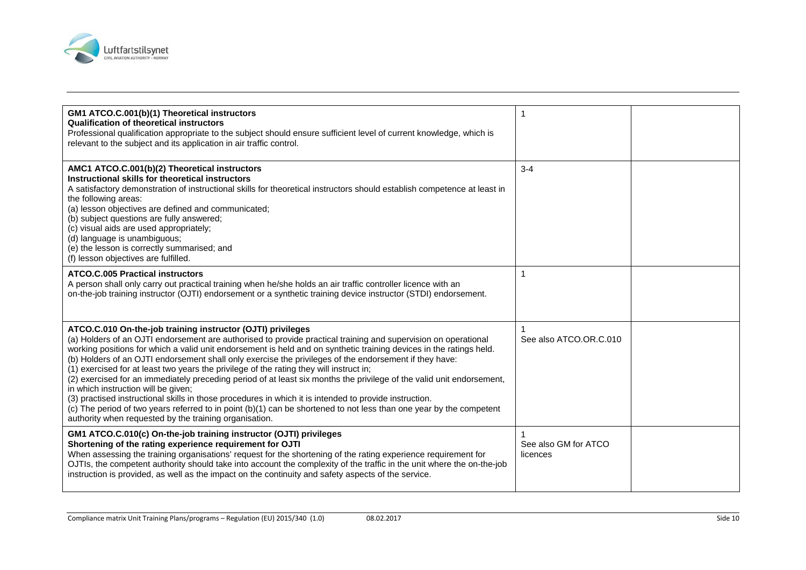

| GM1 ATCO.C.001(b)(1) Theoretical instructors<br><b>Qualification of theoretical instructors</b><br>Professional qualification appropriate to the subject should ensure sufficient level of current knowledge, which is<br>relevant to the subject and its application in air traffic control.                                                                                                                                                                                                                                                                                                                                                                                                                                                                                                                                                                                                                                                                        |                                  |  |
|----------------------------------------------------------------------------------------------------------------------------------------------------------------------------------------------------------------------------------------------------------------------------------------------------------------------------------------------------------------------------------------------------------------------------------------------------------------------------------------------------------------------------------------------------------------------------------------------------------------------------------------------------------------------------------------------------------------------------------------------------------------------------------------------------------------------------------------------------------------------------------------------------------------------------------------------------------------------|----------------------------------|--|
| AMC1 ATCO.C.001(b)(2) Theoretical instructors<br>Instructional skills for theoretical instructors<br>A satisfactory demonstration of instructional skills for theoretical instructors should establish competence at least in<br>the following areas:<br>(a) lesson objectives are defined and communicated;<br>(b) subject questions are fully answered;<br>(c) visual aids are used appropriately;<br>(d) language is unambiguous;<br>(e) the lesson is correctly summarised; and<br>(f) lesson objectives are fulfilled.                                                                                                                                                                                                                                                                                                                                                                                                                                          | $3 - 4$                          |  |
| <b>ATCO.C.005 Practical instructors</b><br>A person shall only carry out practical training when he/she holds an air traffic controller licence with an<br>on-the-job training instructor (OJTI) endorsement or a synthetic training device instructor (STDI) endorsement.                                                                                                                                                                                                                                                                                                                                                                                                                                                                                                                                                                                                                                                                                           |                                  |  |
| ATCO.C.010 On-the-job training instructor (OJTI) privileges<br>(a) Holders of an OJTI endorsement are authorised to provide practical training and supervision on operational<br>working positions for which a valid unit endorsement is held and on synthetic training devices in the ratings held.<br>(b) Holders of an OJTI endorsement shall only exercise the privileges of the endorsement if they have:<br>(1) exercised for at least two years the privilege of the rating they will instruct in;<br>(2) exercised for an immediately preceding period of at least six months the privilege of the valid unit endorsement,<br>in which instruction will be given;<br>(3) practised instructional skills in those procedures in which it is intended to provide instruction.<br>(c) The period of two years referred to in point (b)(1) can be shortened to not less than one year by the competent<br>authority when requested by the training organisation. | See also ATCO.OR.C.010           |  |
| GM1 ATCO.C.010(c) On-the-job training instructor (OJTI) privileges<br>Shortening of the rating experience requirement for OJTI<br>When assessing the training organisations' request for the shortening of the rating experience requirement for<br>OJTIs, the competent authority should take into account the complexity of the traffic in the unit where the on-the-job<br>instruction is provided, as well as the impact on the continuity and safety aspects of the service.                                                                                                                                                                                                                                                                                                                                                                                                                                                                                    | See also GM for ATCO<br>licences |  |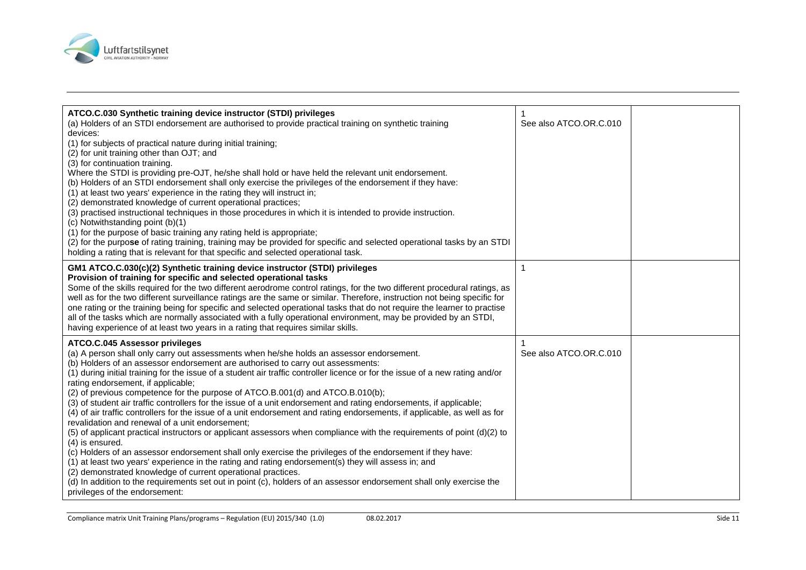

| ATCO.C.030 Synthetic training device instructor (STDI) privileges<br>(a) Holders of an STDI endorsement are authorised to provide practical training on synthetic training<br>devices:<br>(1) for subjects of practical nature during initial training;<br>(2) for unit training other than OJT; and<br>(3) for continuation training.<br>Where the STDI is providing pre-OJT, he/she shall hold or have held the relevant unit endorsement.<br>(b) Holders of an STDI endorsement shall only exercise the privileges of the endorsement if they have:<br>(1) at least two years' experience in the rating they will instruct in;<br>(2) demonstrated knowledge of current operational practices;<br>(3) practised instructional techniques in those procedures in which it is intended to provide instruction.<br>(c) Notwithstanding point (b)(1)<br>(1) for the purpose of basic training any rating held is appropriate;<br>(2) for the purpose of rating training, training may be provided for specific and selected operational tasks by an STDI<br>holding a rating that is relevant for that specific and selected operational task.                                                                                                                                                                                                                            | See also ATCO.OR.C.010 |  |
|--------------------------------------------------------------------------------------------------------------------------------------------------------------------------------------------------------------------------------------------------------------------------------------------------------------------------------------------------------------------------------------------------------------------------------------------------------------------------------------------------------------------------------------------------------------------------------------------------------------------------------------------------------------------------------------------------------------------------------------------------------------------------------------------------------------------------------------------------------------------------------------------------------------------------------------------------------------------------------------------------------------------------------------------------------------------------------------------------------------------------------------------------------------------------------------------------------------------------------------------------------------------------------------------------------------------------------------------------------------------------|------------------------|--|
| GM1 ATCO.C.030(c)(2) Synthetic training device instructor (STDI) privileges<br>Provision of training for specific and selected operational tasks<br>Some of the skills required for the two different aerodrome control ratings, for the two different procedural ratings, as<br>well as for the two different surveillance ratings are the same or similar. Therefore, instruction not being specific for<br>one rating or the training being for specific and selected operational tasks that do not require the learner to practise<br>all of the tasks which are normally associated with a fully operational environment, may be provided by an STDI,<br>having experience of at least two years in a rating that requires similar skills.                                                                                                                                                                                                                                                                                                                                                                                                                                                                                                                                                                                                                          | 1                      |  |
| ATCO.C.045 Assessor privileges<br>(a) A person shall only carry out assessments when he/she holds an assessor endorsement.<br>(b) Holders of an assessor endorsement are authorised to carry out assessments:<br>(1) during initial training for the issue of a student air traffic controller licence or for the issue of a new rating and/or<br>rating endorsement, if applicable;<br>(2) of previous competence for the purpose of ATCO.B.001(d) and ATCO.B.010(b);<br>(3) of student air traffic controllers for the issue of a unit endorsement and rating endorsements, if applicable;<br>(4) of air traffic controllers for the issue of a unit endorsement and rating endorsements, if applicable, as well as for<br>revalidation and renewal of a unit endorsement;<br>(5) of applicant practical instructors or applicant assessors when compliance with the requirements of point (d)(2) to<br>(4) is ensured.<br>(c) Holders of an assessor endorsement shall only exercise the privileges of the endorsement if they have:<br>(1) at least two years' experience in the rating and rating endorsement(s) they will assess in; and<br>(2) demonstrated knowledge of current operational practices.<br>(d) In addition to the requirements set out in point (c), holders of an assessor endorsement shall only exercise the<br>privileges of the endorsement: | See also ATCO.OR.C.010 |  |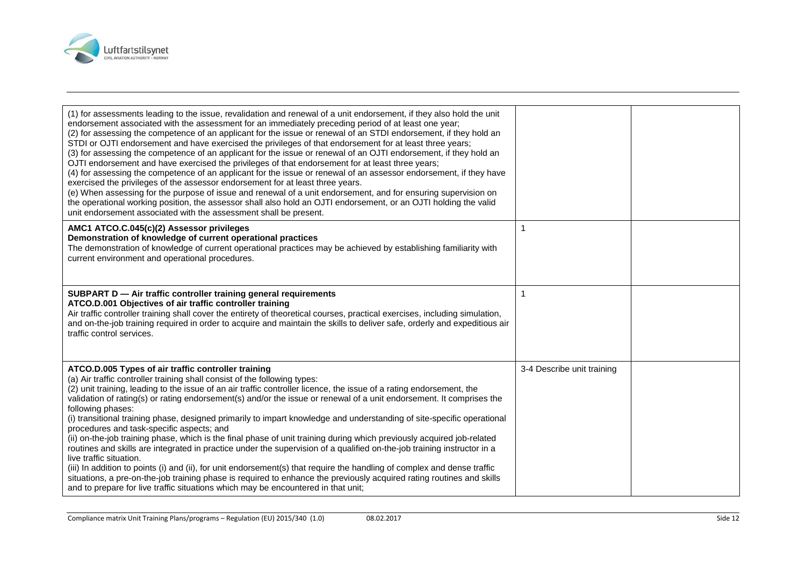

| (1) for assessments leading to the issue, revalidation and renewal of a unit endorsement, if they also hold the unit<br>endorsement associated with the assessment for an immediately preceding period of at least one year;<br>(2) for assessing the competence of an applicant for the issue or renewal of an STDI endorsement, if they hold an<br>STDI or OJTI endorsement and have exercised the privileges of that endorsement for at least three years;<br>(3) for assessing the competence of an applicant for the issue or renewal of an OJTI endorsement, if they hold an<br>OJTI endorsement and have exercised the privileges of that endorsement for at least three years;<br>(4) for assessing the competence of an applicant for the issue or renewal of an assessor endorsement, if they have<br>exercised the privileges of the assessor endorsement for at least three years.<br>(e) When assessing for the purpose of issue and renewal of a unit endorsement, and for ensuring supervision on<br>the operational working position, the assessor shall also hold an OJTI endorsement, or an OJTI holding the valid<br>unit endorsement associated with the assessment shall be present. |                            |  |
|-----------------------------------------------------------------------------------------------------------------------------------------------------------------------------------------------------------------------------------------------------------------------------------------------------------------------------------------------------------------------------------------------------------------------------------------------------------------------------------------------------------------------------------------------------------------------------------------------------------------------------------------------------------------------------------------------------------------------------------------------------------------------------------------------------------------------------------------------------------------------------------------------------------------------------------------------------------------------------------------------------------------------------------------------------------------------------------------------------------------------------------------------------------------------------------------------------------|----------------------------|--|
| AMC1 ATCO.C.045(c)(2) Assessor privileges<br>Demonstration of knowledge of current operational practices<br>The demonstration of knowledge of current operational practices may be achieved by establishing familiarity with<br>current environment and operational procedures.                                                                                                                                                                                                                                                                                                                                                                                                                                                                                                                                                                                                                                                                                                                                                                                                                                                                                                                           |                            |  |
| SUBPART D - Air traffic controller training general requirements<br>ATCO.D.001 Objectives of air traffic controller training<br>Air traffic controller training shall cover the entirety of theoretical courses, practical exercises, including simulation,<br>and on-the-job training required in order to acquire and maintain the skills to deliver safe, orderly and expeditious air<br>traffic control services.                                                                                                                                                                                                                                                                                                                                                                                                                                                                                                                                                                                                                                                                                                                                                                                     |                            |  |
| ATCO.D.005 Types of air traffic controller training<br>(a) Air traffic controller training shall consist of the following types:<br>(2) unit training, leading to the issue of an air traffic controller licence, the issue of a rating endorsement, the<br>validation of rating(s) or rating endorsement(s) and/or the issue or renewal of a unit endorsement. It comprises the<br>following phases:<br>(i) transitional training phase, designed primarily to impart knowledge and understanding of site-specific operational<br>procedures and task-specific aspects; and<br>(ii) on-the-job training phase, which is the final phase of unit training during which previously acquired job-related<br>routines and skills are integrated in practice under the supervision of a qualified on-the-job training instructor in a<br>live traffic situation.<br>(iii) In addition to points (i) and (ii), for unit endorsement(s) that require the handling of complex and dense traffic<br>situations, a pre-on-the-job training phase is required to enhance the previously acquired rating routines and skills<br>and to prepare for live traffic situations which may be encountered in that unit;    | 3-4 Describe unit training |  |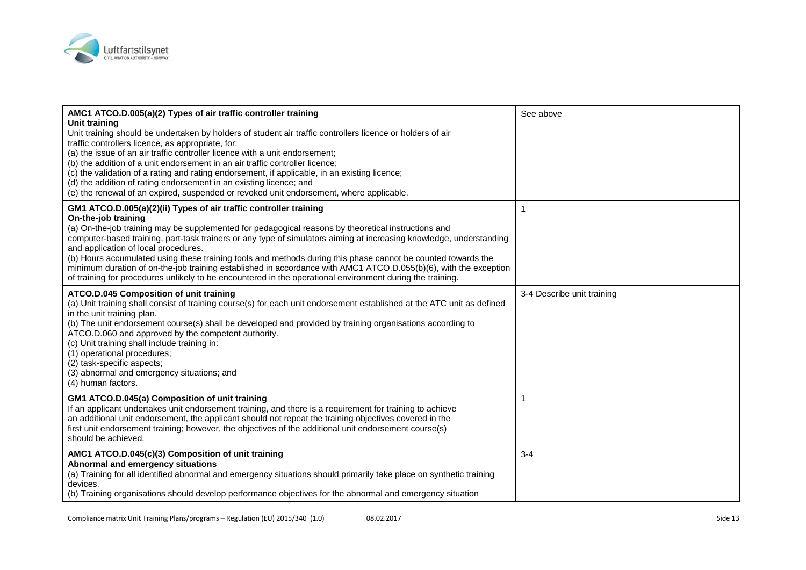

| AMC1 ATCO.D.005(a)(2) Types of air traffic controller training<br>Unit training<br>Unit training should be undertaken by holders of student air traffic controllers licence or holders of air<br>traffic controllers licence, as appropriate, for:<br>(a) the issue of an air traffic controller licence with a unit endorsement;<br>(b) the addition of a unit endorsement in an air traffic controller licence;<br>(c) the validation of a rating and rating endorsement, if applicable, in an existing licence;<br>(d) the addition of rating endorsement in an existing licence; and<br>(e) the renewal of an expired, suspended or revoked unit endorsement, where applicable.                             | See above                  |  |
|-----------------------------------------------------------------------------------------------------------------------------------------------------------------------------------------------------------------------------------------------------------------------------------------------------------------------------------------------------------------------------------------------------------------------------------------------------------------------------------------------------------------------------------------------------------------------------------------------------------------------------------------------------------------------------------------------------------------|----------------------------|--|
| GM1 ATCO.D.005(a)(2)(ii) Types of air traffic controller training<br>On-the-job training<br>(a) On-the-job training may be supplemented for pedagogical reasons by theoretical instructions and<br>computer-based training, part-task trainers or any type of simulators aiming at increasing knowledge, understanding<br>and application of local procedures.<br>(b) Hours accumulated using these training tools and methods during this phase cannot be counted towards the<br>minimum duration of on-the-job training established in accordance with AMC1 ATCO.D.055(b)(6), with the exception<br>of training for procedures unlikely to be encountered in the operational environment during the training. | $\mathbf{1}$               |  |
| ATCO.D.045 Composition of unit training<br>(a) Unit training shall consist of training course(s) for each unit endorsement established at the ATC unit as defined<br>in the unit training plan.<br>(b) The unit endorsement course(s) shall be developed and provided by training organisations according to<br>ATCO.D.060 and approved by the competent authority.<br>(c) Unit training shall include training in:<br>(1) operational procedures;<br>(2) task-specific aspects;<br>(3) abnormal and emergency situations; and<br>(4) human factors.                                                                                                                                                            | 3-4 Describe unit training |  |
| GM1 ATCO.D.045(a) Composition of unit training<br>If an applicant undertakes unit endorsement training, and there is a requirement for training to achieve<br>an additional unit endorsement, the applicant should not repeat the training objectives covered in the<br>first unit endorsement training; however, the objectives of the additional unit endorsement course(s)<br>should be achieved.                                                                                                                                                                                                                                                                                                            | 1                          |  |
| AMC1 ATCO.D.045(c)(3) Composition of unit training<br>Abnormal and emergency situations<br>(a) Training for all identified abnormal and emergency situations should primarily take place on synthetic training<br>devices.<br>(b) Training organisations should develop performance objectives for the abnormal and emergency situation                                                                                                                                                                                                                                                                                                                                                                         | $3 - 4$                    |  |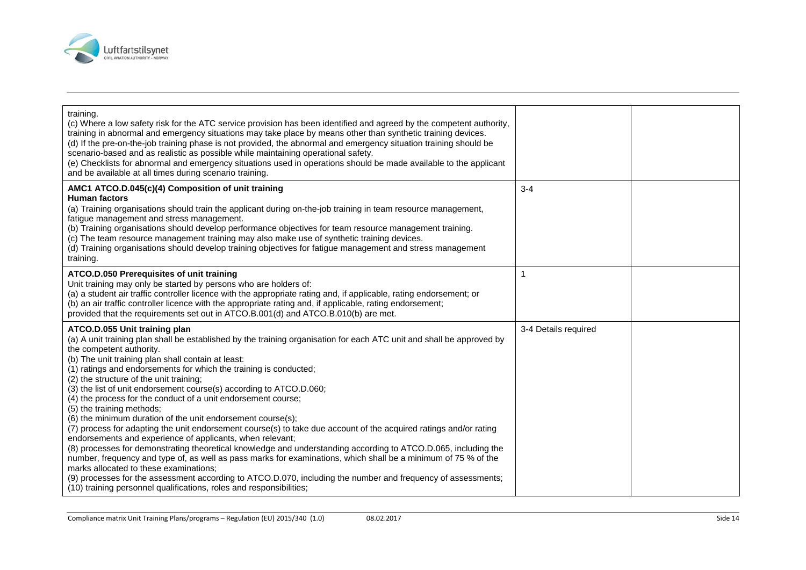

| training.<br>(c) Where a low safety risk for the ATC service provision has been identified and agreed by the competent authority,<br>training in abnormal and emergency situations may take place by means other than synthetic training devices.<br>(d) If the pre-on-the-job training phase is not provided, the abnormal and emergency situation training should be<br>scenario-based and as realistic as possible while maintaining operational safety.<br>(e) Checklists for abnormal and emergency situations used in operations should be made available to the applicant<br>and be available at all times during scenario training.                                                                                                                                                                                                                                                                                                                                                                                                                                                                                                                                                                                                         |                      |  |
|-----------------------------------------------------------------------------------------------------------------------------------------------------------------------------------------------------------------------------------------------------------------------------------------------------------------------------------------------------------------------------------------------------------------------------------------------------------------------------------------------------------------------------------------------------------------------------------------------------------------------------------------------------------------------------------------------------------------------------------------------------------------------------------------------------------------------------------------------------------------------------------------------------------------------------------------------------------------------------------------------------------------------------------------------------------------------------------------------------------------------------------------------------------------------------------------------------------------------------------------------------|----------------------|--|
| AMC1 ATCO.D.045(c)(4) Composition of unit training<br><b>Human factors</b><br>(a) Training organisations should train the applicant during on-the-job training in team resource management,<br>fatigue management and stress management.<br>(b) Training organisations should develop performance objectives for team resource management training.<br>(c) The team resource management training may also make use of synthetic training devices.<br>(d) Training organisations should develop training objectives for fatigue management and stress management<br>training.                                                                                                                                                                                                                                                                                                                                                                                                                                                                                                                                                                                                                                                                        | $3 - 4$              |  |
| ATCO.D.050 Prerequisites of unit training<br>Unit training may only be started by persons who are holders of:<br>(a) a student air traffic controller licence with the appropriate rating and, if applicable, rating endorsement; or<br>(b) an air traffic controller licence with the appropriate rating and, if applicable, rating endorsement;<br>provided that the requirements set out in ATCO.B.001(d) and ATCO.B.010(b) are met.                                                                                                                                                                                                                                                                                                                                                                                                                                                                                                                                                                                                                                                                                                                                                                                                             | $\overline{1}$       |  |
| ATCO.D.055 Unit training plan<br>(a) A unit training plan shall be established by the training organisation for each ATC unit and shall be approved by<br>the competent authority.<br>(b) The unit training plan shall contain at least:<br>(1) ratings and endorsements for which the training is conducted;<br>(2) the structure of the unit training;<br>(3) the list of unit endorsement course(s) according to ATCO.D.060;<br>(4) the process for the conduct of a unit endorsement course;<br>(5) the training methods;<br>(6) the minimum duration of the unit endorsement course(s);<br>(7) process for adapting the unit endorsement course(s) to take due account of the acquired ratings and/or rating<br>endorsements and experience of applicants, when relevant;<br>(8) processes for demonstrating theoretical knowledge and understanding according to ATCO.D.065, including the<br>number, frequency and type of, as well as pass marks for examinations, which shall be a minimum of 75 % of the<br>marks allocated to these examinations:<br>(9) processes for the assessment according to ATCO.D.070, including the number and frequency of assessments;<br>(10) training personnel qualifications, roles and responsibilities; | 3-4 Details required |  |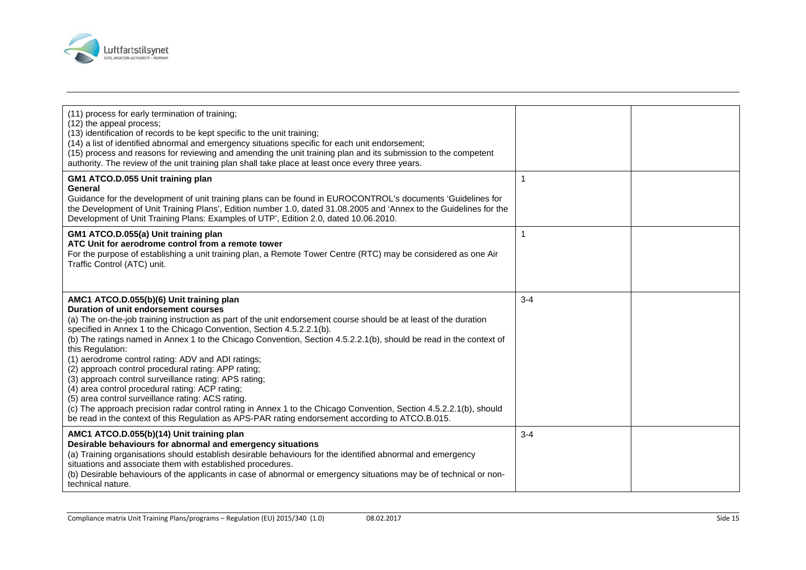

| (11) process for early termination of training;<br>(12) the appeal process;<br>(13) identification of records to be kept specific to the unit training;<br>(14) a list of identified abnormal and emergency situations specific for each unit endorsement;<br>(15) process and reasons for reviewing and amending the unit training plan and its submission to the competent<br>authority. The review of the unit training plan shall take place at least once every three years.                                                                                                                                                                                                                                                                                                                                                                                                                                                |         |  |
|----------------------------------------------------------------------------------------------------------------------------------------------------------------------------------------------------------------------------------------------------------------------------------------------------------------------------------------------------------------------------------------------------------------------------------------------------------------------------------------------------------------------------------------------------------------------------------------------------------------------------------------------------------------------------------------------------------------------------------------------------------------------------------------------------------------------------------------------------------------------------------------------------------------------------------|---------|--|
| GM1 ATCO.D.055 Unit training plan<br>General<br>Guidance for the development of unit training plans can be found in EUROCONTROL's documents 'Guidelines for<br>the Development of Unit Training Plans', Edition number 1.0, dated 31.08.2005 and 'Annex to the Guidelines for the<br>Development of Unit Training Plans: Examples of UTP', Edition 2.0, dated 10.06.2010.                                                                                                                                                                                                                                                                                                                                                                                                                                                                                                                                                        | 1       |  |
| GM1 ATCO.D.055(a) Unit training plan<br>ATC Unit for aerodrome control from a remote tower<br>For the purpose of establishing a unit training plan, a Remote Tower Centre (RTC) may be considered as one Air<br>Traffic Control (ATC) unit.                                                                                                                                                                                                                                                                                                                                                                                                                                                                                                                                                                                                                                                                                      | 1       |  |
| AMC1 ATCO.D.055(b)(6) Unit training plan<br>Duration of unit endorsement courses<br>(a) The on-the-job training instruction as part of the unit endorsement course should be at least of the duration<br>specified in Annex 1 to the Chicago Convention, Section 4.5.2.2.1(b).<br>(b) The ratings named in Annex 1 to the Chicago Convention, Section 4.5.2.2.1(b), should be read in the context of<br>this Regulation:<br>(1) aerodrome control rating: ADV and ADI ratings;<br>(2) approach control procedural rating: APP rating;<br>(3) approach control surveillance rating: APS rating;<br>(4) area control procedural rating: ACP rating;<br>(5) area control surveillance rating: ACS rating.<br>(c) The approach precision radar control rating in Annex 1 to the Chicago Convention, Section 4.5.2.2.1(b), should<br>be read in the context of this Regulation as APS-PAR rating endorsement according to ATCO.B.015. | $3 - 4$ |  |
| AMC1 ATCO.D.055(b)(14) Unit training plan<br>Desirable behaviours for abnormal and emergency situations<br>(a) Training organisations should establish desirable behaviours for the identified abnormal and emergency<br>situations and associate them with established procedures.<br>(b) Desirable behaviours of the applicants in case of abnormal or emergency situations may be of technical or non-<br>technical nature.                                                                                                                                                                                                                                                                                                                                                                                                                                                                                                   | $3 - 4$ |  |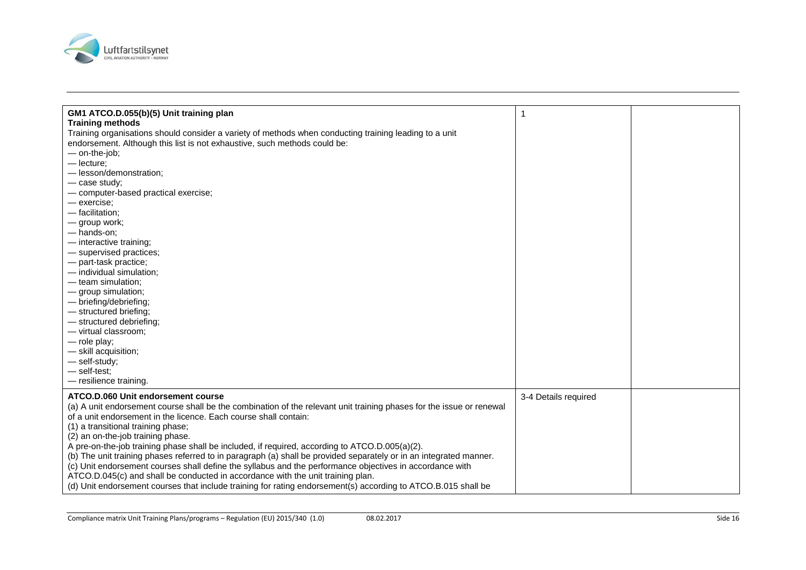

| GM1 ATCO.D.055(b)(5) Unit training plan                                                                              | 1                    |  |
|----------------------------------------------------------------------------------------------------------------------|----------------------|--|
| <b>Training methods</b>                                                                                              |                      |  |
| Training organisations should consider a variety of methods when conducting training leading to a unit               |                      |  |
| endorsement. Although this list is not exhaustive, such methods could be:                                            |                      |  |
| - on-the-job;                                                                                                        |                      |  |
| $-$ lecture;                                                                                                         |                      |  |
| - lesson/demonstration;                                                                                              |                      |  |
| - case study;                                                                                                        |                      |  |
| - computer-based practical exercise;                                                                                 |                      |  |
| - exercise;                                                                                                          |                      |  |
| - facilitation;                                                                                                      |                      |  |
| - group work;                                                                                                        |                      |  |
| -hands-on;                                                                                                           |                      |  |
| - interactive training;                                                                                              |                      |  |
| - supervised practices;                                                                                              |                      |  |
| - part-task practice;                                                                                                |                      |  |
| - individual simulation;                                                                                             |                      |  |
| - team simulation;                                                                                                   |                      |  |
| - group simulation;                                                                                                  |                      |  |
| - briefing/debriefing;                                                                                               |                      |  |
| - structured briefing;                                                                                               |                      |  |
| - structured debriefing;                                                                                             |                      |  |
| - virtual classroom;                                                                                                 |                      |  |
| - role play;                                                                                                         |                      |  |
| - skill acquisition;                                                                                                 |                      |  |
| - self-study;                                                                                                        |                      |  |
| - self-test:                                                                                                         |                      |  |
| - resilience training.                                                                                               |                      |  |
| ATCO.D.060 Unit endorsement course                                                                                   | 3-4 Details required |  |
| (a) A unit endorsement course shall be the combination of the relevant unit training phases for the issue or renewal |                      |  |
| of a unit endorsement in the licence. Each course shall contain:                                                     |                      |  |
| (1) a transitional training phase;                                                                                   |                      |  |
| (2) an on-the-job training phase.                                                                                    |                      |  |
| A pre-on-the-job training phase shall be included, if required, according to ATCO.D.005(a)(2).                       |                      |  |
| (b) The unit training phases referred to in paragraph (a) shall be provided separately or in an integrated manner.   |                      |  |
| (c) Unit endorsement courses shall define the syllabus and the performance objectives in accordance with             |                      |  |
| ATCO.D.045(c) and shall be conducted in accordance with the unit training plan.                                      |                      |  |
| (d) Unit endorsement courses that include training for rating endorsement(s) according to ATCO.B.015 shall be        |                      |  |
|                                                                                                                      |                      |  |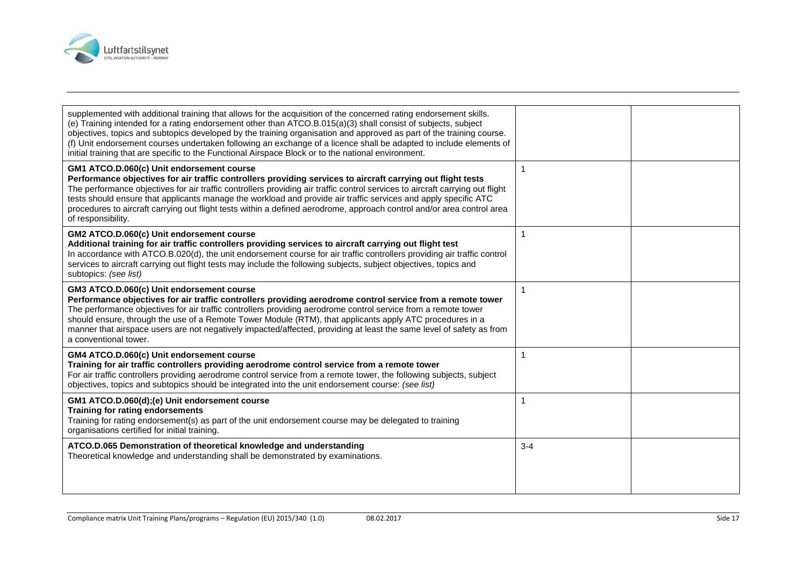

| supplemented with additional training that allows for the acquisition of the concerned rating endorsement skills.<br>(e) Training intended for a rating endorsement other than ATCO.B.015(a)(3) shall consist of subjects, subject<br>objectives, topics and subtopics developed by the training organisation and approved as part of the training course.<br>(f) Unit endorsement courses undertaken following an exchange of a licence shall be adapted to include elements of<br>initial training that are specific to the Functional Airspace Block or to the national environment. |         |  |
|-----------------------------------------------------------------------------------------------------------------------------------------------------------------------------------------------------------------------------------------------------------------------------------------------------------------------------------------------------------------------------------------------------------------------------------------------------------------------------------------------------------------------------------------------------------------------------------------|---------|--|
| GM1 ATCO.D.060(c) Unit endorsement course<br>Performance objectives for air traffic controllers providing services to aircraft carrying out flight tests<br>The performance objectives for air traffic controllers providing air traffic control services to aircraft carrying out flight<br>tests should ensure that applicants manage the workload and provide air traffic services and apply specific ATC<br>procedures to aircraft carrying out flight tests within a defined aerodrome, approach control and/or area control area<br>of responsibility.                            |         |  |
| GM2 ATCO.D.060(c) Unit endorsement course<br>Additional training for air traffic controllers providing services to aircraft carrying out flight test<br>In accordance with ATCO.B.020(d), the unit endorsement course for air traffic controllers providing air traffic control<br>services to aircraft carrying out flight tests may include the following subjects, subject objectives, topics and<br>subtopics: (see list)                                                                                                                                                           |         |  |
| GM3 ATCO.D.060(c) Unit endorsement course<br>Performance objectives for air traffic controllers providing aerodrome control service from a remote tower<br>The performance objectives for air traffic controllers providing aerodrome control service from a remote tower<br>should ensure, through the use of a Remote Tower Module (RTM), that applicants apply ATC procedures in a<br>manner that airspace users are not negatively impacted/affected, providing at least the same level of safety as from<br>a conventional tower.                                                  |         |  |
| GM4 ATCO.D.060(c) Unit endorsement course<br>Training for air traffic controllers providing aerodrome control service from a remote tower<br>For air traffic controllers providing aerodrome control service from a remote tower, the following subjects, subject<br>objectives, topics and subtopics should be integrated into the unit endorsement course: (see list)                                                                                                                                                                                                                 |         |  |
| GM1 ATCO.D.060(d);(e) Unit endorsement course<br>Training for rating endorsements<br>Training for rating endorsement(s) as part of the unit endorsement course may be delegated to training<br>organisations certified for initial training.                                                                                                                                                                                                                                                                                                                                            |         |  |
| ATCO.D.065 Demonstration of theoretical knowledge and understanding<br>Theoretical knowledge and understanding shall be demonstrated by examinations.                                                                                                                                                                                                                                                                                                                                                                                                                                   | $3 - 4$ |  |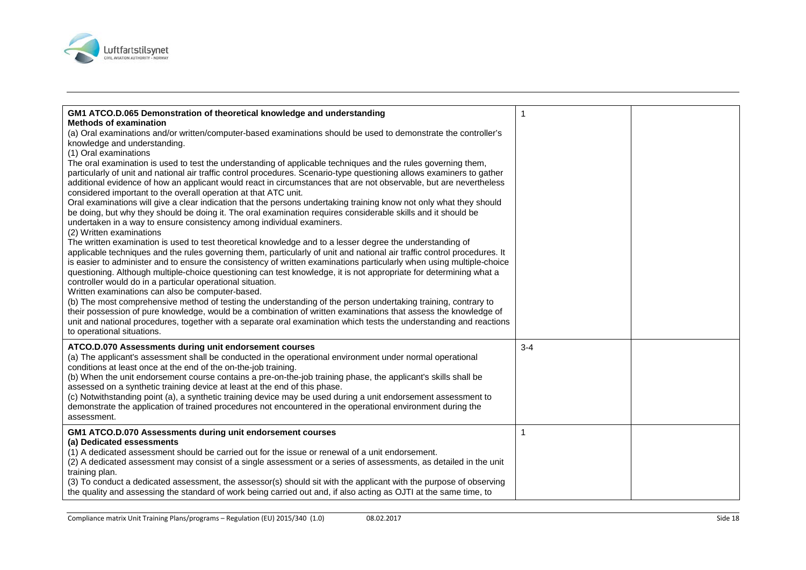

| GM1 ATCO.D.065 Demonstration of theoretical knowledge and understanding<br><b>Methods of examination</b><br>(a) Oral examinations and/or written/computer-based examinations should be used to demonstrate the controller's<br>knowledge and understanding.<br>(1) Oral examinations<br>The oral examination is used to test the understanding of applicable techniques and the rules governing them,<br>particularly of unit and national air traffic control procedures. Scenario-type questioning allows examiners to gather<br>additional evidence of how an applicant would react in circumstances that are not observable, but are nevertheless<br>considered important to the overall operation at that ATC unit.<br>Oral examinations will give a clear indication that the persons undertaking training know not only what they should<br>be doing, but why they should be doing it. The oral examination requires considerable skills and it should be<br>undertaken in a way to ensure consistency among individual examiners.<br>(2) Written examinations<br>The written examination is used to test theoretical knowledge and to a lesser degree the understanding of<br>applicable techniques and the rules governing them, particularly of unit and national air traffic control procedures. It<br>is easier to administer and to ensure the consistency of written examinations particularly when using multiple-choice<br>questioning. Although multiple-choice questioning can test knowledge, it is not appropriate for determining what a<br>controller would do in a particular operational situation.<br>Written examinations can also be computer-based.<br>(b) The most comprehensive method of testing the understanding of the person undertaking training, contrary to<br>their possession of pure knowledge, would be a combination of written examinations that assess the knowledge of<br>unit and national procedures, together with a separate oral examination which tests the understanding and reactions<br>to operational situations. |         |  |
|---------------------------------------------------------------------------------------------------------------------------------------------------------------------------------------------------------------------------------------------------------------------------------------------------------------------------------------------------------------------------------------------------------------------------------------------------------------------------------------------------------------------------------------------------------------------------------------------------------------------------------------------------------------------------------------------------------------------------------------------------------------------------------------------------------------------------------------------------------------------------------------------------------------------------------------------------------------------------------------------------------------------------------------------------------------------------------------------------------------------------------------------------------------------------------------------------------------------------------------------------------------------------------------------------------------------------------------------------------------------------------------------------------------------------------------------------------------------------------------------------------------------------------------------------------------------------------------------------------------------------------------------------------------------------------------------------------------------------------------------------------------------------------------------------------------------------------------------------------------------------------------------------------------------------------------------------------------------------------------------------------------------------------------------------------------------------|---------|--|
| ATCO.D.070 Assessments during unit endorsement courses<br>(a) The applicant's assessment shall be conducted in the operational environment under normal operational<br>conditions at least once at the end of the on-the-job training.<br>(b) When the unit endorsement course contains a pre-on-the-job training phase, the applicant's skills shall be<br>assessed on a synthetic training device at least at the end of this phase.<br>(c) Notwithstanding point (a), a synthetic training device may be used during a unit endorsement assessment to<br>demonstrate the application of trained procedures not encountered in the operational environment during the<br>assessment.                                                                                                                                                                                                                                                                                                                                                                                                                                                                                                                                                                                                                                                                                                                                                                                                                                                                                                                                                                                                                                                                                                                                                                                                                                                                                                                                                                                    | $3 - 4$ |  |
| GM1 ATCO.D.070 Assessments during unit endorsement courses<br>(a) Dedicated essessments<br>(1) A dedicated assessment should be carried out for the issue or renewal of a unit endorsement.<br>(2) A dedicated assessment may consist of a single assessment or a series of assessments, as detailed in the unit<br>training plan.<br>(3) To conduct a dedicated assessment, the assessor(s) should sit with the applicant with the purpose of observing<br>the quality and assessing the standard of work being carried out and, if also acting as OJTI at the same time, to                                                                                                                                                                                                                                                                                                                                                                                                                                                                                                                                                                                                                                                                                                                                                                                                                                                                                                                                                                                                                                                                                                                                                                                                                                                                                                                                                                                                                                                                                             | 1       |  |